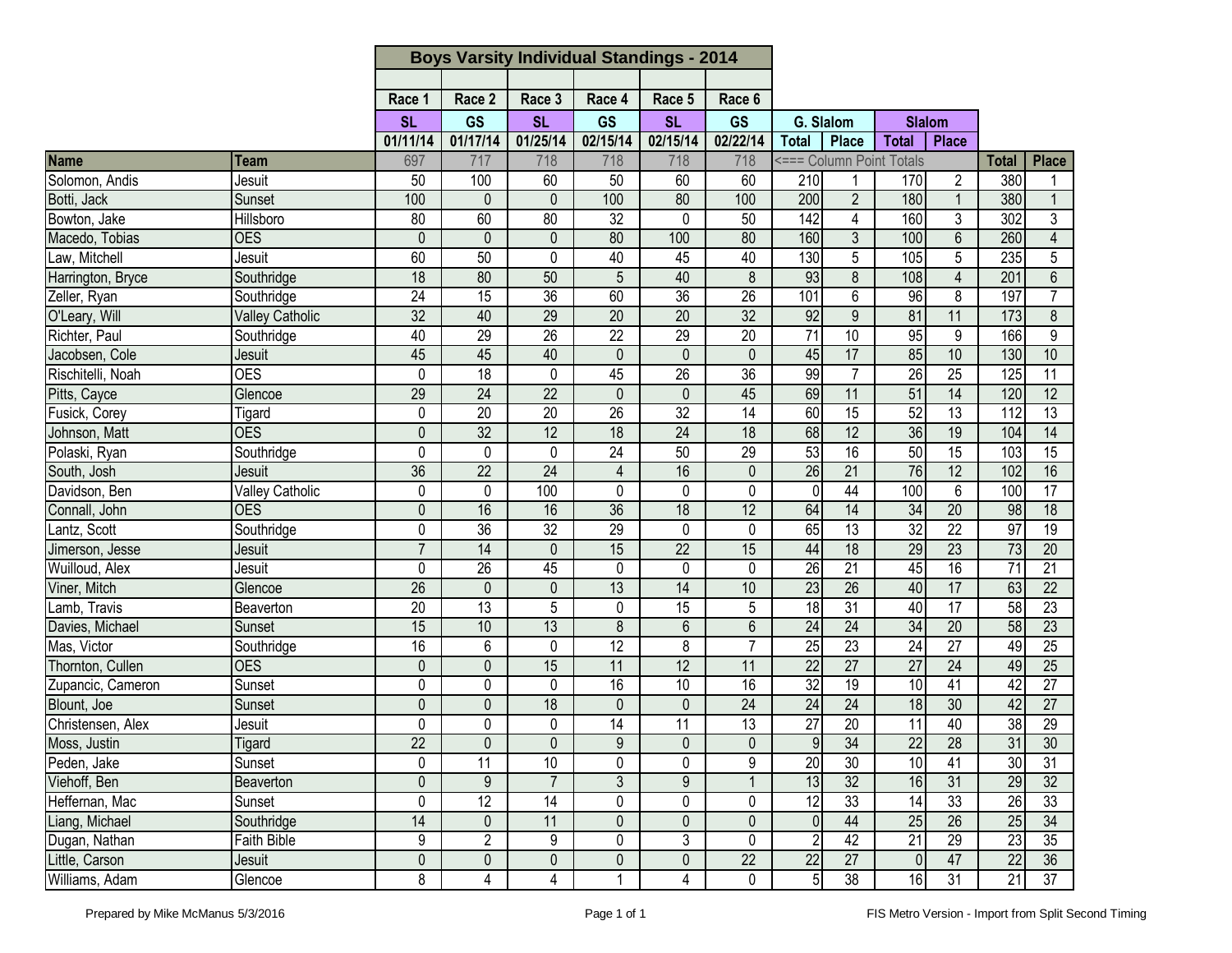|                   |                        | <b>Boys Varsity Individual Standings - 2014</b> |                 |                 |                 |                 |                 |                 |                          |                 |                 |                 |                 |
|-------------------|------------------------|-------------------------------------------------|-----------------|-----------------|-----------------|-----------------|-----------------|-----------------|--------------------------|-----------------|-----------------|-----------------|-----------------|
|                   |                        |                                                 |                 |                 |                 |                 |                 |                 |                          |                 |                 |                 |                 |
|                   |                        | Race 1                                          | Race 2          | Race 3          | Race 4          | Race 5          | Race 6          |                 |                          |                 |                 |                 |                 |
|                   |                        | <b>SL</b>                                       | <b>GS</b>       | <b>SL</b>       | GS              | <b>SL</b>       | <b>GS</b>       |                 | G. Slalom                |                 | <b>Slalom</b>   |                 |                 |
|                   |                        | 01/11/14                                        | 01/17/14        | 01/25/14        | 02/15/14        | 02/15/14        | 02/22/14        | <b>Total</b>    | <b>Place</b>             | <b>Total</b>    | <b>Place</b>    |                 |                 |
| Name              | Team                   | 697                                             | 717             | 718             | 718             | 718             | 718             |                 | <=== Column Point Totals |                 |                 | <b>Total</b>    | <b>Place</b>    |
| Solomon, Andis    | Jesuit                 | 50                                              | 100             | 60              | 50              | 60              | 60              | 210             |                          | 170             | 2               | 380             |                 |
| Botti, Jack       | Sunset                 | 100                                             | $\mathbf{0}$    | $\mathbf{0}$    | 100             | 80              | 100             | 200             | $\overline{2}$           | 180             | $\mathbf 1$     | 380             | $\mathbf{1}$    |
| Bowton, Jake      | Hillsboro              | $\overline{80}$                                 | 60              | 80              | $\overline{32}$ | 0               | 50              | 142             | 4                        | 160             | 3               | 302             | $\overline{3}$  |
| Macedo, Tobias    | <b>OES</b>             | $\overline{0}$                                  | 0               | $\mathbf{0}$    | 80              | 100             | 80              | 160             | 3                        | 100             | $\overline{6}$  | 260             | $\overline{4}$  |
| Law, Mitchell     | Jesuit                 | 60                                              | 50              | 0               | 40              | 45              | 40              | 130             | 5                        | 105             | 5               | 235             | $\overline{5}$  |
| Harrington, Bryce | Southridge             | $\overline{18}$                                 | 80              | 50              | 5               | 40              | 8               | 93              | 8                        | 108             | $\overline{4}$  | 201             | $6\phantom{1}$  |
| Zeller, Ryan      | Southridge             | $\overline{24}$                                 | $\overline{15}$ | $\overline{36}$ | 60              | 36              | $\overline{26}$ | 101             | 6                        | 96              | 8               | 197             | $\overline{7}$  |
| O'Leary, Will     | <b>Valley Catholic</b> | $\overline{32}$                                 | 40              | 29              | 20              | $\overline{20}$ | $\overline{32}$ | 92              | 9                        | 81              | $\overline{11}$ | 173             | 8               |
| Richter, Paul     | Southridge             | 40                                              | 29              | $\overline{26}$ | $\overline{22}$ | $\overline{29}$ | $\overline{20}$ | $\overline{71}$ | 10                       | 95              | 9               | 166             | $\overline{9}$  |
| Jacobsen, Cole    | Jesuit                 | 45                                              | 45              | 40              | $\mathbf 0$     | $\mathbf 0$     | $\mathbf{0}$    | 45              | 17                       | 85              | 10              | 130             | 10              |
| Rischitelli, Noah | <b>OES</b>             | 0                                               | $\overline{18}$ | $\mathbf 0$     | 45              | $\overline{26}$ | 36              | 99              | $\overline{7}$           | 26              | $\overline{25}$ | 125             | $\overline{11}$ |
| Pitts, Cayce      | Glencoe                | 29                                              | 24              | $\overline{22}$ | $\mathbf 0$     | $\mathbf 0$     | 45              | 69              | 11                       | 51              | 14              | 120             | 12              |
| Fusick, Corey     | Tigard                 | 0                                               | 20              | 20              | $\overline{26}$ | $\overline{32}$ | $\overline{14}$ | 60              | $\overline{15}$          | 52              | $\overline{13}$ | 112             | $\overline{13}$ |
| Johnson, Matt     | <b>OES</b>             | $\overline{0}$                                  | 32              | $\overline{12}$ | 18              | 24              | 18              | 68              | $\overline{12}$          | 36              | 19              | 104             | 14              |
| Polaski, Ryan     | Southridge             | 0                                               | $\Omega$        | 0               | 24              | 50              | 29              | 53              | 16                       | 50              | 15              | 103             | 15              |
| South, Josh       | Jesuit                 | 36                                              | 22              | 24              | $\overline{4}$  | 16              | 0               | 26              | 21                       | 76              | 12              | 102             | 16              |
| Davidson, Ben     | Valley Catholic        | 0                                               | 0               | 100             | 0               | 0               | 0               | $\Omega$        | 44                       | 100             | 6               | 100             | $\overline{17}$ |
| Connall, John     | <b>OES</b>             | $\overline{0}$                                  | 16              | 16              | 36              | $\overline{18}$ | 12              | 64              | 14                       | 34              | $\overline{20}$ | 98              | 18              |
| Lantz, Scott      | Southridge             | 0                                               | $\overline{36}$ | $\overline{32}$ | 29              | 0               | 0               | 65              | $\overline{13}$          | 32              | $\overline{22}$ | 97              | $\overline{19}$ |
| Jimerson, Jesse   | Jesuit                 | $\overline{7}$                                  | 14              | $\mathbf{0}$    | 15              | $\overline{22}$ | 15              | 44              | 18                       | 29              | $\overline{23}$ | $\overline{73}$ | 20              |
| Wuilloud, Alex    | Jesuit                 | 0                                               | 26              | 45              | 0               | 0               | $\mathbf 0$     | 26              | 21                       | 45              | 16              | $\overline{71}$ | $\overline{21}$ |
| Viner, Mitch      | Glencoe                | $\overline{26}$                                 | $\mathbf 0$     | $\mathbf 0$     | 13              | $\overline{14}$ | 10              | 23              | $\overline{26}$          | 40              | 17              | 63              | $\overline{22}$ |
| Lamb, Travis      | Beaverton              | 20                                              | 13              | 5               | 0               | 15              | 5               | 18              | $\overline{31}$          | 40              | 17              | 58              | $\overline{23}$ |
| Davies, Michael   | Sunset                 | 15                                              | 10              | 13              | 8               | $\overline{6}$  | $6\phantom{1}$  | 24              | 24                       | 34              | 20              | 58              | 23              |
| Mas, Victor       | Southridge             | 16                                              | 6               | 0               | $\overline{12}$ | 8               |                 | $\overline{25}$ | 23                       | $\overline{24}$ | $\overline{27}$ | 49              | $\overline{25}$ |
| Thornton, Cullen  | <b>OES</b>             | 0                                               | 0               | 15              | 11              | 12              | 11              | 22              | 27                       | 27              | 24              | 49              | 25              |
| Zupancic, Cameron | Sunset                 | 0                                               | 0               | $\mathbf 0$     | 16              | 10              | 16              | 32              | 19                       | 10              | 41              | 42              | $\overline{27}$ |
| Blount, Joe       | Sunset                 | 0                                               | 0               | 18              | $\mathbf{0}$    | 0               | $\overline{24}$ | 24              | $\overline{24}$          | 18              | 30              | 42              | $\overline{27}$ |
| Christensen, Alex | Jesuit                 | 0                                               | 0               | 0               | $\overline{14}$ | $\overline{11}$ | 13              | $\overline{27}$ | $\overline{20}$          | $\overline{11}$ | 40              | အ               | $\overline{29}$ |
| Moss, Justin      | Tigard                 | 22                                              | $\overline{0}$  | $\overline{0}$  | $\overline{9}$  | $\overline{0}$  | $\overline{0}$  | 9               | $\overline{34}$          | 22              | 28              | $\overline{31}$ | $\overline{30}$ |
| Peden, Jake       | Sunset                 | 0                                               | $\overline{11}$ | 10              | 0               | 0               | 9               | 20              | 30                       | $\overline{6}$  | 41              | $\overline{30}$ | $\overline{31}$ |
| Viehoff, Ben      | Beaverton              | $\mathbf 0$                                     | 9               | $\overline{7}$  | 3               | 9               | $\mathbf{1}$    | 13              | $\overline{32}$          | 16              | 31              | 29              | 32              |
| Heffernan, Mac    | Sunset                 | 0                                               | 12              | 14              | 0               | 0               | $\mathbf 0$     | 12              | 33                       | 14              | 33              | 26              | 33              |
| Liang, Michael    | Southridge             | $\overline{14}$                                 | $\mathbf 0$     | 11              | $\mathbf 0$     | $\pmb{0}$       | $\mathbf{0}$    | $\overline{0}$  | 44                       | 25              | 26              | 25              | 34              |
| Dugan, Nathan     | <b>Faith Bible</b>     | 9                                               | $\overline{2}$  | 9               | 0               | 3               | $\mathbf 0$     | $\overline{2}$  | 42                       | $\overline{21}$ | $\overline{29}$ | $\overline{23}$ | $\overline{35}$ |
| Little, Carson    | Jesuit                 | $\pmb{0}$                                       | $\pmb{0}$       | $\pmb{0}$       | $\pmb{0}$       | $\pmb{0}$       | $\overline{22}$ | $\overline{22}$ | 27                       | $\overline{0}$  | 47              | $\overline{22}$ | 36              |
| Williams, Adam    | Glencoe                | 8                                               | 4               | 4               | 1               | $\overline{4}$  | 0               | 5 <sub>5</sub>  | $\overline{38}$          | 16              | 31              | 21              | 37              |